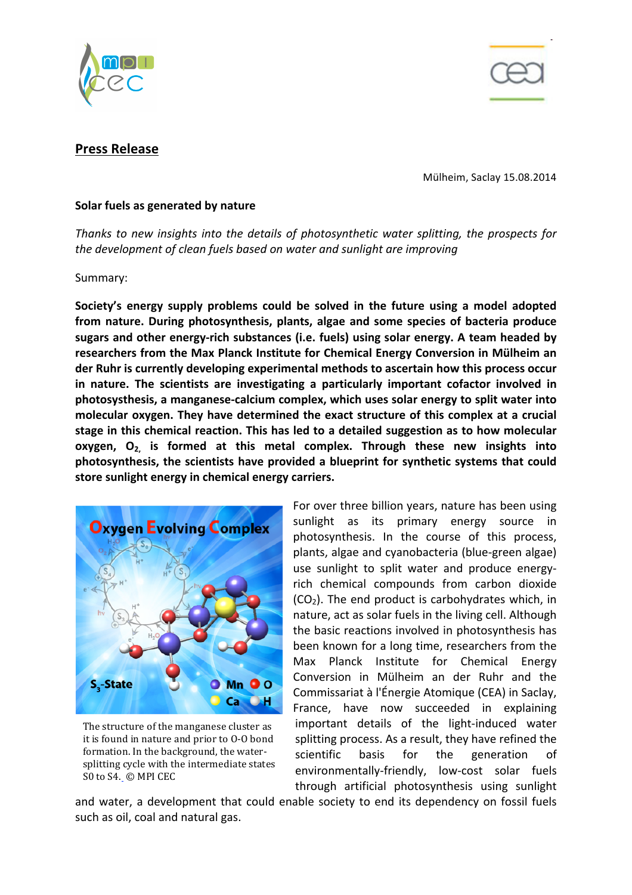



# **Press Release**

Mülheim, Saclay 15.08.2014

### **Solar fuels as generated by nature**

*Thanks* to new insights into the details of photosynthetic water splitting, the prospects for the development of clean fuels based on water and sunlight are improving

#### Summary:

Society's energy supply problems could be solved in the future using a model adopted **from nature. During photosynthesis, plants, algae and some species of bacteria produce** sugars and other energy-rich substances (i.e. fuels) using solar energy. A team headed by researchers from the Max Planck Institute for Chemical Energy Conversion in Mülheim an **der Ruhr is currently developing experimental methods to ascertain how this process occur** in nature. The scientists are investigating a particularly important cofactor involved in **photosysthesis, a manganese-calcium complex, which uses solar energy to split water into**  molecular oxygen. They have determined the exact structure of this complex at a crucial stage in this chemical reaction. This has led to a detailed suggestion as to how molecular **oxygen, O<sub>2</sub>** is formed at this metal complex. Through these new insights into photosynthesis, the scientists have provided a blueprint for synthetic systems that could store sunlight energy in chemical energy carriers.



The structure of the manganese cluster as it is found in nature and prior to 0-0 bond formation. In the background, the watersplitting cycle with the intermediate states S0 to S4. © MPI CEC

For over three billion years, nature has been using sunlight as its primary energy source in photosynthesis. In the course of this process, plants, algae and cyanobacteria (blue-green algae) use sunlight to split water and produce energyrich chemical compounds from carbon dioxide  $(CO<sub>2</sub>)$ . The end product is carbohydrates which, in nature, act as solar fuels in the living cell. Although the basic reactions involved in photosynthesis has been known for a long time, researchers from the Max Planck Institute for Chemical Energy Conversion in Mülheim an der Ruhr and the Commissariat à l'Énergie Atomique (CEA) in Saclay, France, have now succeeded in explaining important details of the light-induced water splitting process. As a result, they have refined the scientific basis for the generation of environmentally-friendly, low-cost solar fuels through artificial photosynthesis using sunlight 

and water, a development that could enable society to end its dependency on fossil fuels such as oil, coal and natural gas.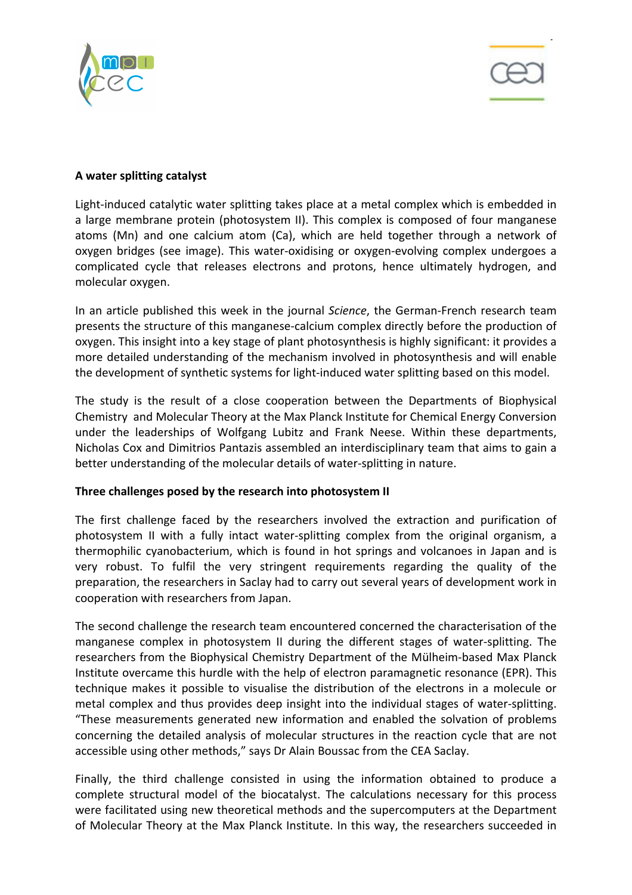



# **A water splitting catalyst**

Light-induced catalytic water splitting takes place at a metal complex which is embedded in a large membrane protein (photosystem II). This complex is composed of four manganese atoms (Mn) and one calcium atom (Ca), which are held together through a network of oxygen bridges (see image). This water-oxidising or oxygen-evolving complex undergoes a complicated cycle that releases electrons and protons, hence ultimately hydrogen, and molecular oxygen.

In an article published this week in the journal *Science*, the German-French research team presents the structure of this manganese-calcium complex directly before the production of oxygen. This insight into a key stage of plant photosynthesis is highly significant: it provides a more detailed understanding of the mechanism involved in photosynthesis and will enable the development of synthetic systems for light-induced water splitting based on this model.

The study is the result of a close cooperation between the Departments of Biophysical Chemistry and Molecular Theory at the Max Planck Institute for Chemical Energy Conversion under the leaderships of Wolfgang Lubitz and Frank Neese. Within these departments, Nicholas Cox and Dimitrios Pantazis assembled an interdisciplinary team that aims to gain a better understanding of the molecular details of water-splitting in nature.

### Three challenges posed by the research into photosystem II

The first challenge faced by the researchers involved the extraction and purification of photosystem II with a fully intact water-splitting complex from the original organism, a thermophilic cyanobacterium, which is found in hot springs and volcanoes in Japan and is very robust. To fulfil the very stringent requirements regarding the quality of the preparation, the researchers in Saclay had to carry out several years of development work in cooperation with researchers from Japan.

The second challenge the research team encountered concerned the characterisation of the manganese complex in photosystem II during the different stages of water-splitting. The researchers from the Biophysical Chemistry Department of the Mülheim-based Max Planck Institute overcame this hurdle with the help of electron paramagnetic resonance (EPR). This technique makes it possible to visualise the distribution of the electrons in a molecule or metal complex and thus provides deep insight into the individual stages of water-splitting. "These measurements generated new information and enabled the solvation of problems concerning the detailed analysis of molecular structures in the reaction cycle that are not accessible using other methods," says Dr Alain Boussac from the CEA Saclay.

Finally, the third challenge consisted in using the information obtained to produce a complete structural model of the biocatalyst. The calculations necessary for this process were facilitated using new theoretical methods and the supercomputers at the Department of Molecular Theory at the Max Planck Institute. In this way, the researchers succeeded in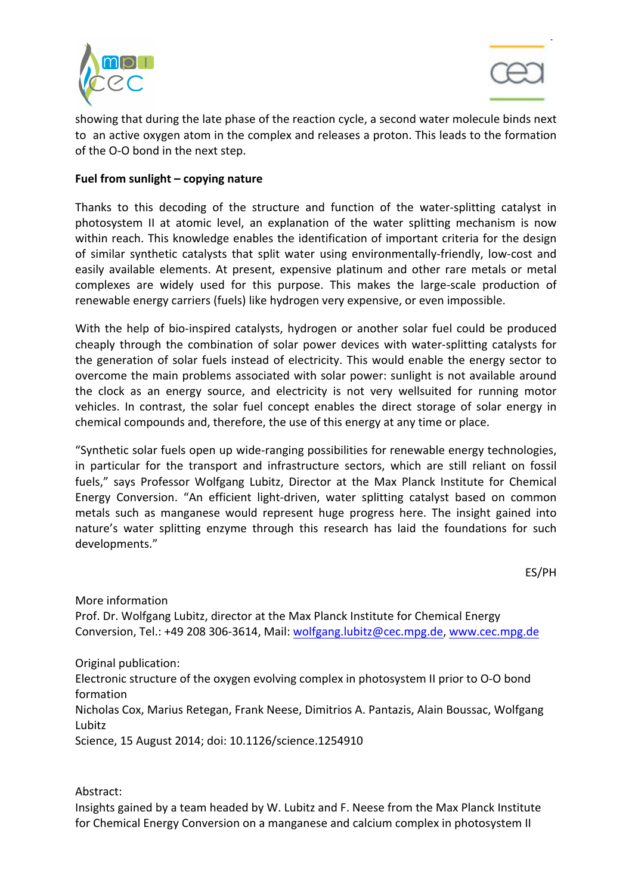



showing that during the late phase of the reaction cycle, a second water molecule binds next to an active oxygen atom in the complex and releases a proton. This leads to the formation of the O-O bond in the next step.

# Fuel from sunlight - copying nature

Thanks to this decoding of the structure and function of the water-splitting catalyst in photosystem II at atomic level, an explanation of the water splitting mechanism is now within reach. This knowledge enables the identification of important criteria for the design of similar synthetic catalysts that split water using environmentally-friendly, low-cost and easily available elements. At present, expensive platinum and other rare metals or metal complexes are widely used for this purpose. This makes the large-scale production of renewable energy carriers (fuels) like hydrogen very expensive, or even impossible.

With the help of bio-inspired catalysts, hydrogen or another solar fuel could be produced cheaply through the combination of solar power devices with water-splitting catalysts for the generation of solar fuels instead of electricity. This would enable the energy sector to overcome the main problems associated with solar power: sunlight is not available around the clock as an energy source, and electricity is not very wellsuited for running motor vehicles. In contrast, the solar fuel concept enables the direct storage of solar energy in chemical compounds and, therefore, the use of this energy at any time or place.

"Synthetic solar fuels open up wide-ranging possibilities for renewable energy technologies, in particular for the transport and infrastructure sectors, which are still reliant on fossil fuels," says Professor Wolfgang Lubitz, Director at the Max Planck Institute for Chemical Energy Conversion. "An efficient light-driven, water splitting catalyst based on common metals such as manganese would represent huge progress here. The insight gained into nature's water splitting enzyme through this research has laid the foundations for such developments."

ES/PH

More information Prof. Dr. Wolfgang Lubitz, director at the Max Planck Institute for Chemical Energy Conversion, Tel.: +49 208 306-3614, Mail: wolfgang.lubitz@cec.mpg.de, www.cec.mpg.de

Original publication:

Electronic structure of the oxygen evolving complex in photosystem II prior to O-O bond formation

Nicholas Cox, Marius Retegan, Frank Neese, Dimitrios A. Pantazis, Alain Boussac, Wolfgang Lubitz

Science, 15 August 2014; doi: 10.1126/science.1254910

Abstract:

Insights gained by a team headed by W. Lubitz and F. Neese from the Max Planck Institute for Chemical Energy Conversion on a manganese and calcium complex in photosystem II